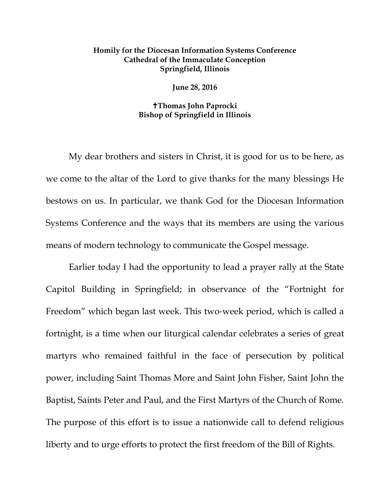## **Homily for the Diocesan Information Systems Conference Cathedral of the Immaculate Conception Springfield, Illinois**

**June 28, 2016**

## **Thomas John Paprocki Bishop of Springfield in Illinois**

My dear brothers and sisters in Christ, it is good for us to be here, as we come to the altar of the Lord to give thanks for the many blessings He bestows on us. In particular, we thank God for the Diocesan Information Systems Conference and the ways that its members are using the various means of modern technology to communicate the Gospel message.

Earlier today I had the opportunity to lead a prayer rally at the State Capitol Building in Springfield; in observance of the "Fortnight for Freedom" which began last week. This two-week period, which is called a fortnight, is a time when our liturgical calendar celebrates a series of great martyrs who remained faithful in the face of persecution by political power, including Saint Thomas More and Saint John Fisher, Saint John the Baptist, Saints Peter and Paul, and the First Martyrs of the Church of Rome. The purpose of this effort is to issue a nationwide call to defend religious liberty and to urge efforts to protect the first freedom of the Bill of Rights.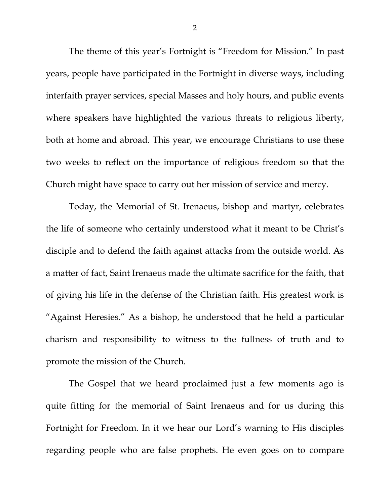The theme of this year's Fortnight is "Freedom for Mission." In past years, people have participated in the Fortnight in diverse ways, including interfaith prayer services, special Masses and holy hours, and public events where speakers have highlighted the various threats to religious liberty, both at home and abroad. This year, we encourage Christians to use these two weeks to reflect on the importance of religious freedom so that the Church might have space to carry out her mission of service and mercy.

Today, the Memorial of St. Irenaeus, bishop and martyr, celebrates the life of someone who certainly understood what it meant to be Christ's disciple and to defend the faith against attacks from the outside world. As a matter of fact, Saint Irenaeus made the ultimate sacrifice for the faith, that of giving his life in the defense of the Christian faith. His greatest work is "Against Heresies." As a bishop, he understood that he held a particular charism and responsibility to witness to the fullness of truth and to promote the mission of the Church.

The Gospel that we heard proclaimed just a few moments ago is quite fitting for the memorial of Saint Irenaeus and for us during this Fortnight for Freedom. In it we hear our Lord's warning to His disciples regarding people who are false prophets. He even goes on to compare